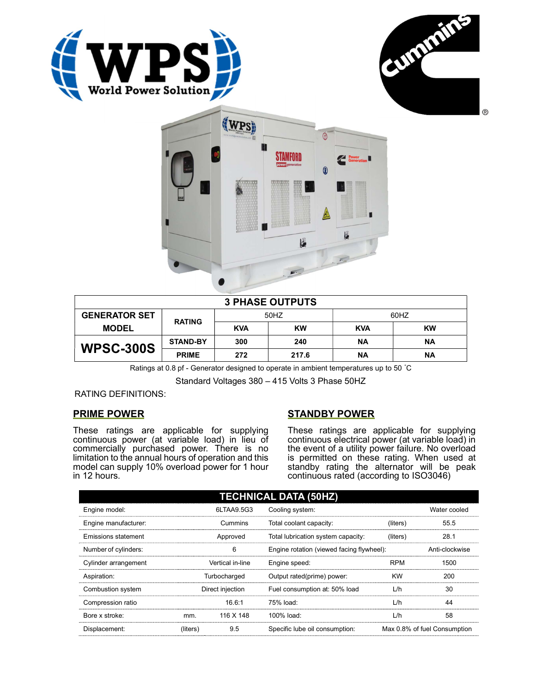





| <b>3 PHASE OUTPUTS</b> |                 |            |           |            |           |  |
|------------------------|-----------------|------------|-----------|------------|-----------|--|
| <b>GENERATOR SET</b>   | <b>RATING</b>   | 50HZ       |           | 60HZ       |           |  |
| <b>MODEL</b>           |                 | <b>KVA</b> | <b>KW</b> | <b>KVA</b> | <b>KW</b> |  |
| <b>WPSC-300S</b>       | <b>STAND-BY</b> | 300        | 240       | ΝA         | ΝA        |  |
|                        | <b>PRIME</b>    | 272        | 217.6     | ΝA         | ΝA        |  |

Ratings at 0.8 pf - Generator designed to operate in ambient temperatures up to 50 °C

Standard Voltages 380 – 415 Volts 3 Phase 50HZ

RATING DEFINITIONS:

## PRIME POWER

These ratings are applicable for supplying continuous power (at variable load) in lieu of commercially purchased power. There is no limitation to the annual hours of operation and this model can supply 10% overload power for 1 hour in 12 hours.

## STANDBY POWER

These ratings are applicable for supplying continuous electrical power (at variable load) in the event of a utility power failure. No overload is permitted on these rating. When used at standby rating the alternator will be peak continuous rated (according to ISO3046)

| <b>TECHNICAL DATA (50HZ)</b> |                  |            |                                           |            |                              |  |
|------------------------------|------------------|------------|-------------------------------------------|------------|------------------------------|--|
| Engine model:                |                  | 6LTAA9.5G3 | Cooling system:                           |            | Water cooled                 |  |
| Engine manufacturer:         | Cummins          |            | Total coolant capacity:                   | (liters)   | 55.5                         |  |
| Emissions statement          | Approved         |            | Total lubrication system capacity:        | (liters)   | 28.1                         |  |
| Number of cylinders:         | 6                |            | Engine rotation (viewed facing flywheel): |            | Anti-clockwise               |  |
| Cylinder arrangement         | Vertical in-line |            | Engine speed:                             | <b>RPM</b> | 1500                         |  |
| Aspiration:                  | Turbocharged     |            | Output rated(prime) power:                | <b>KW</b>  | 200                          |  |
| Combustion system            | Direct injection |            | Fuel consumption at: 50% load             | L/h        | 30                           |  |
| Compression ratio            |                  | 16.6:1     | 75% load:                                 | L/h        | 44                           |  |
| Bore x stroke:               | mm.              | 116 X 148  | 100% load:                                | L/h        | 58                           |  |
| Displacement:                | (liters)         | 9.5        | Specific lube oil consumption:            |            | Max 0.8% of fuel Consumption |  |